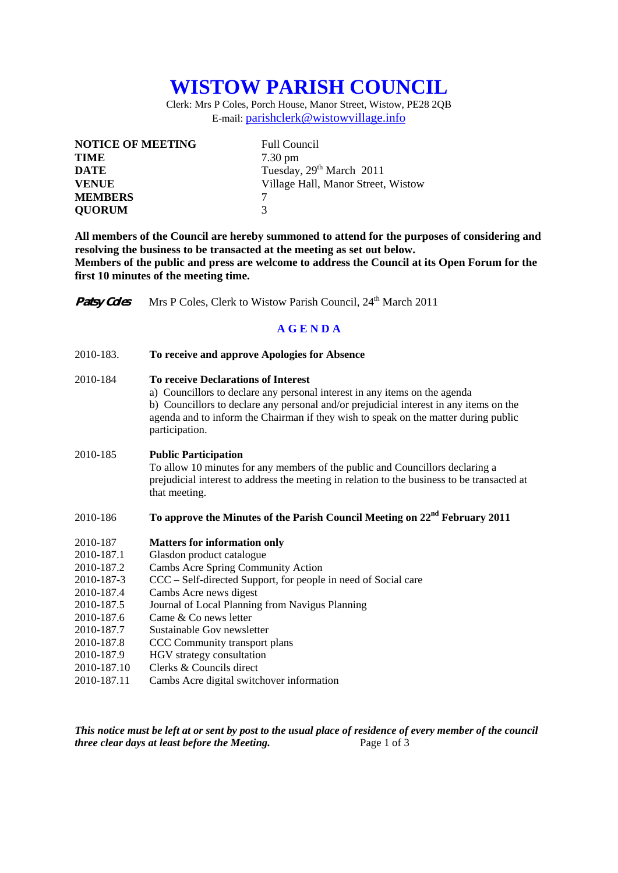# **WISTOW PARISH COUNCIL**

Clerk: Mrs P Coles, Porch House, Manor Street, Wistow, PE28 2QB E-mail: parishclerk@wistowvillage.info

| <b>NOTICE OF MEETING</b> | <b>Full Council</b>                  |
|--------------------------|--------------------------------------|
| <b>TIME</b>              | $7.30 \text{ pm}$                    |
| <b>DATE</b>              | Tuesday, 29 <sup>th</sup> March 2011 |
| <b>VENUE</b>             | Village Hall, Manor Street, Wistow   |
| <b>MEMBERS</b>           |                                      |
| <b>QUORUM</b>            | 3                                    |

**All members of the Council are hereby summoned to attend for the purposes of considering and resolving the business to be transacted at the meeting as set out below. Members of the public and press are welcome to address the Council at its Open Forum for the first 10 minutes of the meeting time.** 

**Patsy Coles** Mrs P Coles, Clerk to Wistow Parish Council, 24<sup>th</sup> March 2011

#### **A G E N D A**

2010-183. **To receive and approve Apologies for Absence** 

## 2010-184 **To receive Declarations of Interest**

 a) Councillors to declare any personal interest in any items on the agenda b) Councillors to declare any personal and/or prejudicial interest in any items on the agenda and to inform the Chairman if they wish to speak on the matter during public participation.

#### 2010-185 **Public Participation**

To allow 10 minutes for any members of the public and Councillors declaring a prejudicial interest to address the meeting in relation to the business to be transacted at that meeting.

## 2010-186 **To approve the Minutes of the Parish Council Meeting on 22nd February 2011**

- 2010-187 **Matters for information only**
- 2010-187.1 Glasdon product catalogue
- 2010-187.2 Cambs Acre Spring Community Action
- 2010-187-3 CCC Self-directed Support, for people in need of Social care
- 2010-187.4 Cambs Acre news digest
- 2010-187.5 Journal of Local Planning from Navigus Planning
- 2010-187.6 Came & Co news letter
- 2010-187.7 Sustainable Gov newsletter
- 2010-187.8 CCC Community transport plans
- 2010-187.9 HGV strategy consultation
- 2010-187.10 Clerks & Councils direct
- 2010-187.11 Cambs Acre digital switchover information

*This notice must be left at or sent by post to the usual place of residence of every member of the council three clear days at least before the Meeting.* Page 1 of 3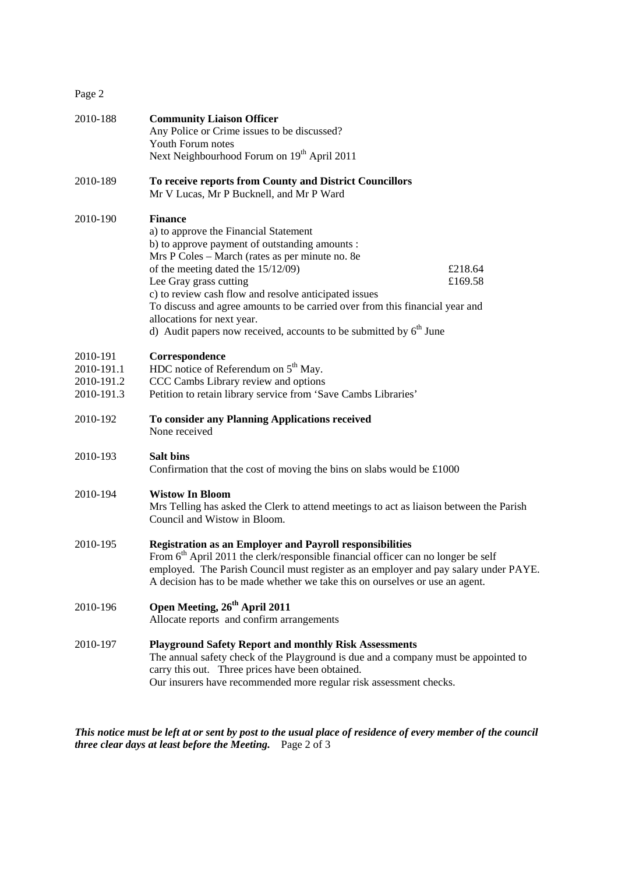| 2010-188                                           | <b>Community Liaison Officer</b><br>Any Police or Crime issues to be discussed?<br>Youth Forum notes<br>Next Neighbourhood Forum on 19 <sup>th</sup> April 2011                                                                                                                                                                                                                                                                                                                                   |  |
|----------------------------------------------------|---------------------------------------------------------------------------------------------------------------------------------------------------------------------------------------------------------------------------------------------------------------------------------------------------------------------------------------------------------------------------------------------------------------------------------------------------------------------------------------------------|--|
| 2010-189                                           | To receive reports from County and District Councillors<br>Mr V Lucas, Mr P Bucknell, and Mr P Ward                                                                                                                                                                                                                                                                                                                                                                                               |  |
| 2010-190                                           | <b>Finance</b><br>a) to approve the Financial Statement<br>b) to approve payment of outstanding amounts :<br>Mrs P Coles - March (rates as per minute no. 8e<br>of the meeting dated the 15/12/09)<br>£218.64<br>£169.58<br>Lee Gray grass cutting<br>c) to review cash flow and resolve anticipated issues<br>To discuss and agree amounts to be carried over from this financial year and<br>allocations for next year.<br>d) Audit papers now received, accounts to be submitted by $6th$ June |  |
| 2010-191<br>2010-191.1<br>2010-191.2<br>2010-191.3 | Correspondence<br>HDC notice of Referendum on $5th$ May.<br>CCC Cambs Library review and options<br>Petition to retain library service from 'Save Cambs Libraries'                                                                                                                                                                                                                                                                                                                                |  |
| 2010-192                                           | To consider any Planning Applications received<br>None received                                                                                                                                                                                                                                                                                                                                                                                                                                   |  |
| 2010-193                                           | <b>Salt bins</b><br>Confirmation that the cost of moving the bins on slabs would be $£1000$                                                                                                                                                                                                                                                                                                                                                                                                       |  |
| 2010-194                                           | <b>Wistow In Bloom</b><br>Mrs Telling has asked the Clerk to attend meetings to act as liaison between the Parish<br>Council and Wistow in Bloom.                                                                                                                                                                                                                                                                                                                                                 |  |
| 2010-195                                           | <b>Registration as an Employer and Payroll responsibilities</b><br>From $6th$ April 2011 the clerk/responsible financial officer can no longer be self<br>employed. The Parish Council must register as an employer and pay salary under PAYE.<br>A decision has to be made whether we take this on ourselves or use an agent.                                                                                                                                                                    |  |
| 2010-196                                           | Open Meeting, 26 <sup>th</sup> April 2011<br>Allocate reports and confirm arrangements                                                                                                                                                                                                                                                                                                                                                                                                            |  |
| 2010-197                                           | <b>Playground Safety Report and monthly Risk Assessments</b><br>The annual safety check of the Playground is due and a company must be appointed to<br>carry this out. Three prices have been obtained.<br>Our insurers have recommended more regular risk assessment checks.                                                                                                                                                                                                                     |  |

*This notice must be left at or sent by post to the usual place of residence of every member of the council three clear days at least before the Meeting.* Page 2 of 3